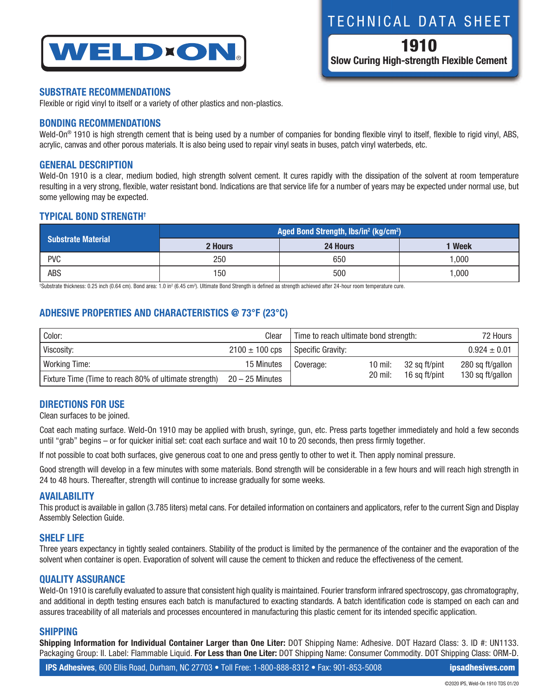

## **SUBSTRATE RECOMMENDATIONS**

Flexible or rigid vinyl to itself or a variety of other plastics and non-plastics.

## **BONDING RECOMMENDATIONS**

Weld-On® 1910 is high strength cement that is being used by a number of companies for bonding flexible vinyl to itself, flexible to rigid vinyl, ABS, acrylic, canvas and other porous materials. It is also being used to repair vinyl seats in buses, patch vinyl waterbeds, etc.

#### **GENERAL DESCRIPTION**

Weld-On 1910 is a clear, medium bodied, high strength solvent cement. It cures rapidly with the dissipation of the solvent at room temperature resulting in a very strong, flexible, water resistant bond. Indications are that service life for a number of years may be expected under normal use, but some yellowing may be expected.

## **TYPICAL BOND STRENGTH†**

| <b>Substrate Material</b> | Aged Bond Strength, lbs/in <sup>2</sup> (kg/cm <sup>2</sup> ) |          |             |  |  |
|---------------------------|---------------------------------------------------------------|----------|-------------|--|--|
|                           | 2 Hours                                                       | 24 Hours | <b>Week</b> |  |  |
| <b>PVC</b>                | 250                                                           | 650      | .000        |  |  |
| <b>ABS</b>                | 150                                                           | 500      | 000,        |  |  |

tSubstrate thickness: 0.25 inch (0.64 cm). Bond area: 1.0 in² (6.45 cm²). Ultimate Bond Strength is defined as strength achieved after 24-hour room temperature cure.

## **ADHESIVE PROPERTIES AND CHARACTERISTICS @ 73°F (23°C)**

| Color:                                                | Clear              | Time to reach ultimate bond strength: |           |               | 72 Hours         |
|-------------------------------------------------------|--------------------|---------------------------------------|-----------|---------------|------------------|
| Viscosity:                                            | $2100 \pm 100$ cps | Specific Gravity:                     |           |               | $0.924 \pm 0.01$ |
| <b>Working Time:</b>                                  | 15 Minutes         | Coverage:                             | 10 mil:   | 32 sq ft/pint | 280 sq ft/gallon |
| Fixture Time (Time to reach 80% of ultimate strength) | $20 - 25$ Minutes  |                                       | $20$ mil: | 16 sa ft/pint | 130 sq ft/gallon |

#### **DIRECTIONS FOR USE**

Clean surfaces to be joined.

Coat each mating surface. Weld-On 1910 may be applied with brush, syringe, gun, etc. Press parts together immediately and hold a few seconds until "grab" begins – or for quicker initial set: coat each surface and wait 10 to 20 seconds, then press firmly together.

If not possible to coat both surfaces, give generous coat to one and press gently to other to wet it. Then apply nominal pressure.

Good strength will develop in a few minutes with some materials. Bond strength will be considerable in a few hours and will reach high strength in 24 to 48 hours. Thereafter, strength will continue to increase gradually for some weeks.

#### **AVAILABILITY**

This product is available in gallon (3.785 liters) metal cans. For detailed information on containers and applicators, refer to the current Sign and Display Assembly Selection Guide.

#### **SHELF LIFE**

Three years expectancy in tightly sealed containers. Stability of the product is limited by the permanence of the container and the evaporation of the solvent when container is open. Evaporation of solvent will cause the cement to thicken and reduce the effectiveness of the cement.

## **QUALITY ASSURANCE**

Weld-On 1910 is carefully evaluated to assure that consistent high quality is maintained. Fourier transform infrared spectroscopy, gas chromatography, and additional in depth testing ensures each batch is manufactured to exacting standards. A batch identification code is stamped on each can and assures traceability of all materials and processes encountered in manufacturing this plastic cement for its intended specific application.

#### **SHIPPING**

**Shipping Information for Individual Container Larger than One Liter:** DOT Shipping Name: Adhesive. DOT Hazard Class: 3. ID #: UN1133. Packaging Group: II. Label: Flammable Liquid. **For Less than One Liter:** DOT Shipping Name: Consumer Commodity. DOT Shipping Class: ORM-D.

# TECHNICAL DATA SHEET

1910 **Slow Curing High-strength Flexible Cement**